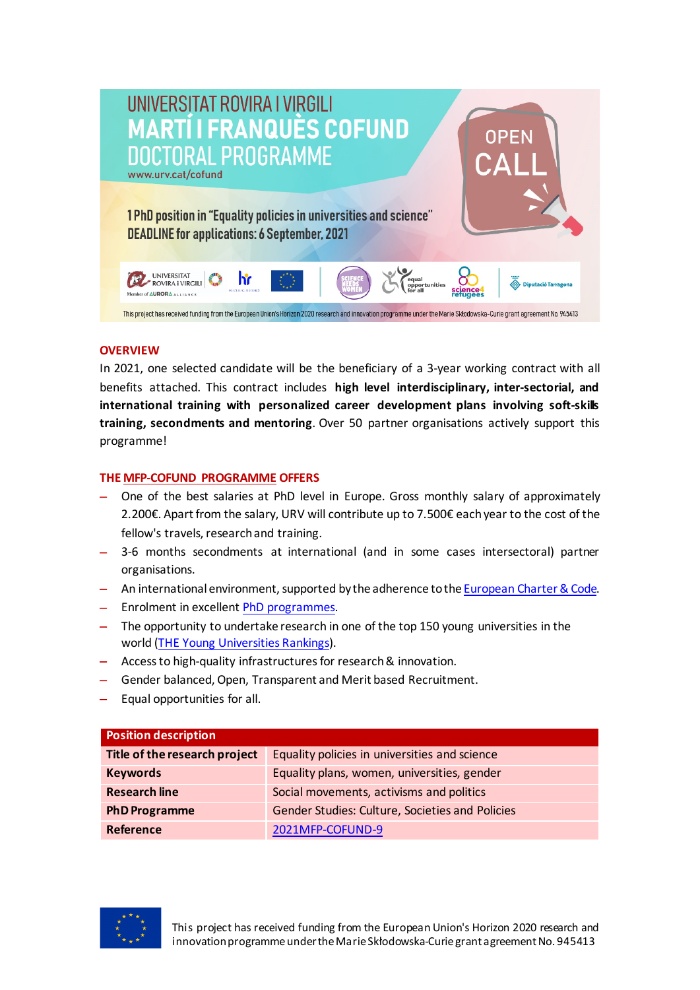

### **OVERVIEW**

In 2021, one selected candidate will be the beneficiary of a 3-year working contract with all benefits attached. This contract includes **high level interdisciplinary, inter-sectorial, and international training with personalized career development plans involving soft-skills training, secondments and mentoring**. Over 50 partner organisations actively support this programme!

## **TH[E MFP-COFUND PROGRAMME](https://www.urv.cat/en/research/support/programmes/marti-franques/cofund/?utm_medium=mailing&utm_source=martifranques21_supervisors&utm_campaign) OFFERS**

- − One of the best salaries at PhD level in Europe. Gross monthly salary of approximately 2.200€. Apart from the salary, URV will contribute up to 7.500€ each year to the cost of the fellow's travels, research and training.
- − 3-6 months secondments at international (and in some cases intersectoral) partner organisations.
- − An international environment, supported by the adherence to the [European Charter & Code.](https://euraxess.ec.europa.eu/jobs/charter/code)
- − Enrolment in excellent PhD p[rogrammes.](http://www.doctor.urv.cat/en/prospective-students/courses/)
- − The opportunity to undertake research in one of the top 150 young universities in the world ([THE Young Universities Rankings\)](https://www.timeshighereducation.com/world-university-rankings/2020/young-university-rankings#!/page/0/length/25/sort_by/rank/sort_order/asc/cols/stats).
- − Access to high-quality infrastructures for research& innovation.
- − Gender balanced, Open, Transparent and Merit based Recruitment.
- − Equal opportunities for all.

| <b>Position description</b>   |                                                 |
|-------------------------------|-------------------------------------------------|
| Title of the research project | Equality policies in universities and science   |
| <b>Keywords</b>               | Equality plans, women, universities, gender     |
| <b>Research line</b>          | Social movements, activisms and politics        |
| <b>PhD Programme</b>          | Gender Studies: Culture, Societies and Policies |
| Reference                     | 2021MFP-COFUND-9                                |

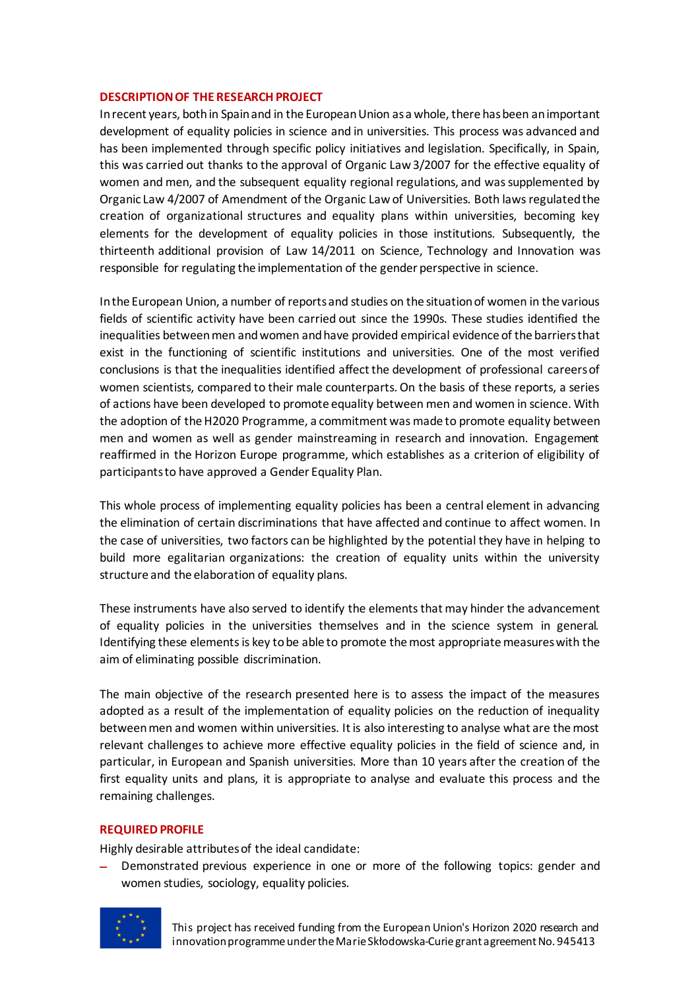#### **DESCRIPTION OF THE RESEARCH PROJECT**

In recent years, both in Spain and in the European Union as a whole, there has been an important development of equality policies in science and in universities. This process was advanced and has been implemented through specific policy initiatives and legislation. Specifically, in Spain, this was carried out thanks to the approval of Organic Law 3/2007 for the effective equality of women and men, and the subsequent equality regional regulations, and was supplemented by Organic Law 4/2007 of Amendment of the Organic Law of Universities. Both laws regulated the creation of organizational structures and equality plans within universities, becoming key elements for the development of equality policies in those institutions. Subsequently, the thirteenth additional provision of Law 14/2011 on Science, Technology and Innovation was responsible for regulating the implementation of the gender perspective in science.

In the European Union, a number of reports and studies on the situation of women in the various fields of scientific activity have been carried out since the 1990s. These studies identified the inequalities between men and women and have provided empirical evidence of the barriers that exist in the functioning of scientific institutions and universities. One of the most verified conclusions is that the inequalities identified affect the development of professional careers of women scientists, compared to their male counterparts. On the basis of these reports, a series of actions have been developed to promote equality between men and women in science. With the adoption of the H2020 Programme, a commitment was made to promote equality between men and women as well as gender mainstreaming in research and innovation. Engagement reaffirmed in the Horizon Europe programme, which establishes as a criterion of eligibility of participants to have approved a Gender Equality Plan.

This whole process of implementing equality policies has been a central element in advancing the elimination of certain discriminations that have affected and continue to affect women. In the case of universities, two factors can be highlighted by the potential they have in helping to build more egalitarian organizations: the creation of equality units within the university structure and the elaboration of equality plans.

These instruments have also served to identify the elements that may hinder the advancement of equality policies in the universities themselves and in the science system in general. Identifying these elements is key to be able to promote the most appropriate measures with the aim of eliminating possible discrimination.

The main objective of the research presented here is to assess the impact of the measures adopted as a result of the implementation of equality policies on the reduction of inequality between men and women within universities. It is also interesting to analyse what are the most relevant challenges to achieve more effective equality policies in the field of science and, in particular, in European and Spanish universities. More than 10 years after the creation of the first equality units and plans, it is appropriate to analyse and evaluate this process and the remaining challenges.

#### **REQUIRED PROFILE**

Highly desirable attributes of the ideal candidate:

− Demonstrated previous experience in one or more of the following topics: gender and women studies, sociology, equality policies.